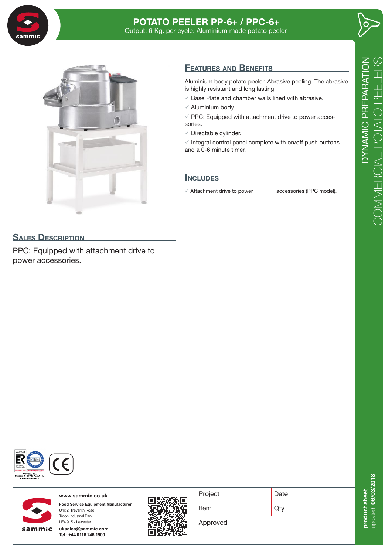

## **POTATO PEELER PP-6+ / PPC-6+** Output: 6 Kg. per cycle. Aluminium made potato peeler.





## **Features and Benefits**

Aluminium body potato peeler. Abrasive peeling. The abrasive is highly resistant and long lasting.

- $\sqrt{ }$  Base Plate and chamber walls lined with abrasive.
- $\checkmark$  Aluminium body.
- $\checkmark$  PPC: Equipped with attachment drive to power accessories.
- $\checkmark$  Directable cylinder.

 $\checkmark$  Integral control panel complete with on/off push buttons and a 0-6 minute timer.

## **Includes**

 $\checkmark$  Attachment drive to power accessories (PPC model).

## **SALES DESCRIPTION**

PPC: Equipped with attachment drive to power accessories.





**www.sammic.co.uk Food Service Equipment Manufacturer** Unit 2, Trevanth Road Troon Industrial Park

**uksales@sammic.com Tel.: +44 0116 246 1900**

LE4 9LS - Leicester



| Project  | Date |
|----------|------|
| Item     | Qtv  |
| Approved |      |

 $\mathbf{L}$